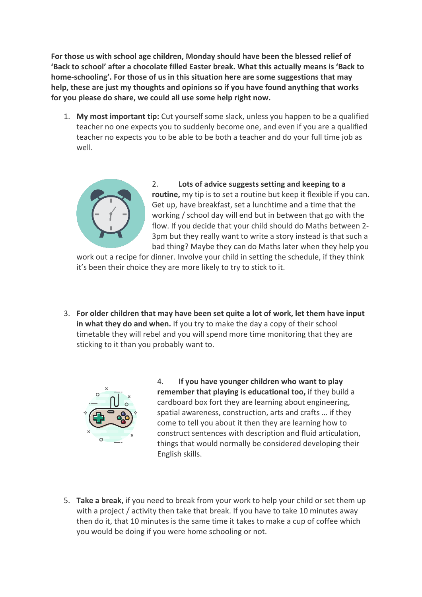**For those us with school age children, Monday should have been the blessed relief of 'Back to school' after a chocolate filled Easter break. What this actually means is 'Back to home-schooling'. For those of us in this situation here are some suggestions that may help, these are just my thoughts and opinions so if you have found anything that works for you please do share, we could all use some help right now.**

1. **My most important tip:** Cut yourself some slack, unless you happen to be a qualified teacher no one expects you to suddenly become one, and even if you are a qualified teacher no expects you to be able to be both a teacher and do your full time job as well.



2. **Lots of advice suggests setting and keeping to a routine,** my tip is to set a routine but keep it flexible if you can. Get up, have breakfast, set a lunchtime and a time that the working / school day will end but in between that go with the flow. If you decide that your child should do Maths between 2- 3pm but they really want to write a story instead is that such a bad thing? Maybe they can do Maths later when they help you

work out a recipe for dinner. Involve your child in setting the schedule, if they think it's been their choice they are more likely to try to stick to it.

3. **For older children that may have been set quite a lot of work, let them have input in what they do and when.** If you try to make the day a copy of their school timetable they will rebel and you will spend more time monitoring that they are sticking to it than you probably want to.



4. **If you have younger children who want to play remember that playing is educational too,** if they build a cardboard box fort they are learning about engineering, spatial awareness, construction, arts and crafts … if they come to tell you about it then they are learning how to construct sentences with description and fluid articulation, things that would normally be considered developing their English skills.

5. **Take a break,** if you need to break from your work to help your child or set them up with a project / activity then take that break. If you have to take 10 minutes away then do it, that 10 minutes is the same time it takes to make a cup of coffee which you would be doing if you were home schooling or not.